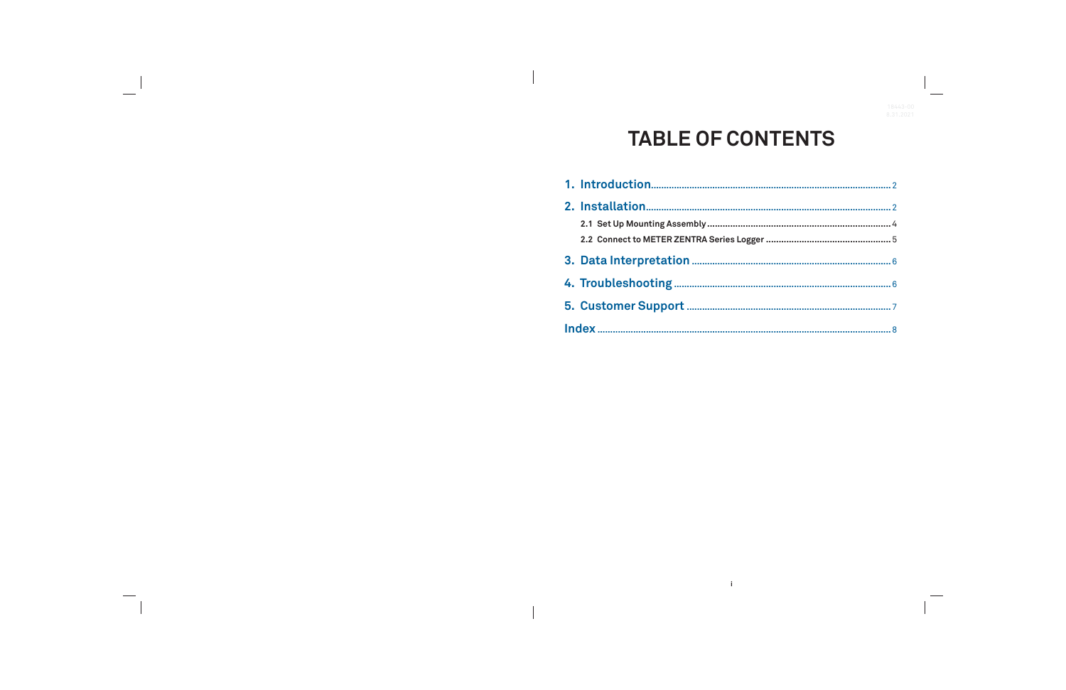# **TABLE OF CONTENTS**

 $\mathbf{r}$ 

| 2.1 Set Up Mounting Assembly              |
|-------------------------------------------|
| 2.2 Connect to METER ZENTRA Series Logger |
|                                           |
|                                           |
|                                           |
|                                           |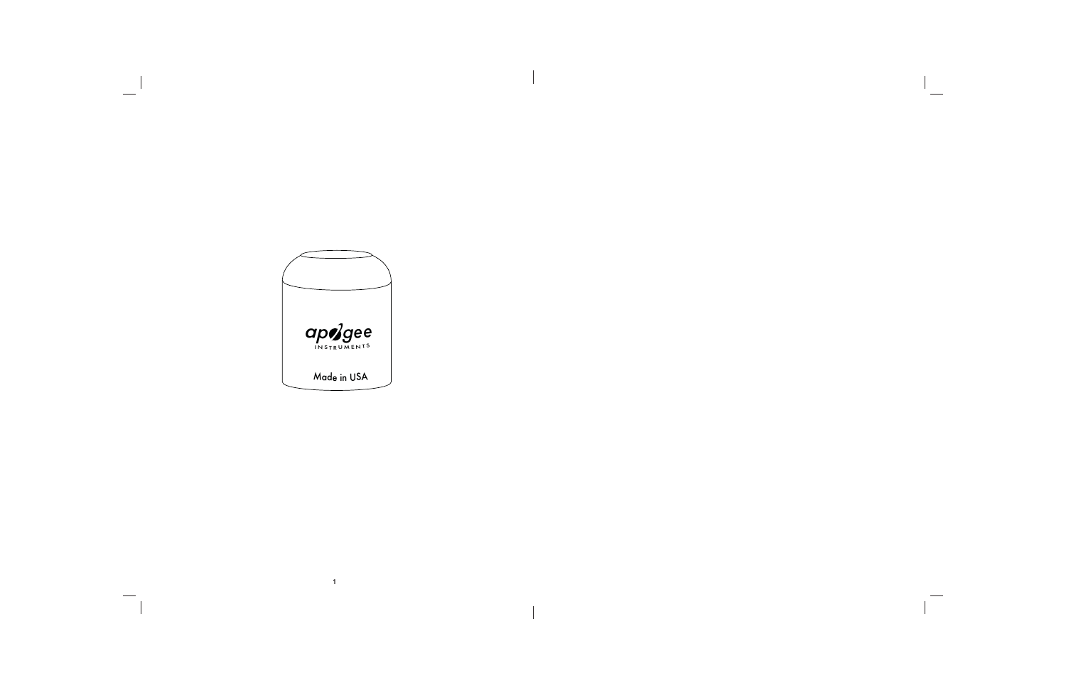

 $\overline{1}$ 

 $\frac{1}{\sqrt{2\pi}}$ 

 $\overline{\phantom{a}}$ 

 $\begin{array}{c} \hline \end{array}$ 

 $\overline{\phantom{a}}$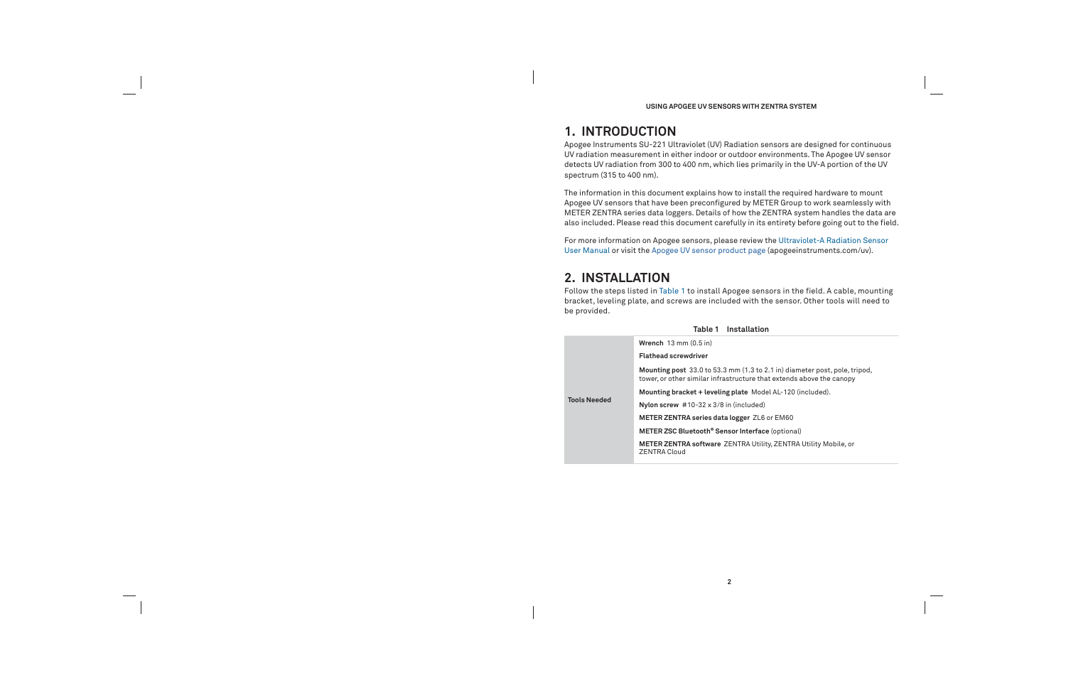### **USING APOGEE UV SENSORS WITH ZENTRA SYSTEM**

## **1. INTRODUCTION**

Apogee Instruments SU-221 Ultraviolet (UV) Radiation sensors are designed for continuous UV radiation measurement in either indoor or outdoor environments. The Apogee UV sensor detects UV radiation from 300 to 400 nm, which lies primarily in the UV-A portion of the UV spectrum (315 to 400 nm).

The information in this document explains how to install the required hardware to mount Apogee UV sensors that have been preconfigured by METER Group to work seamlessly with METER ZENTRA series data loggers. Details of how the ZENTRA system handles the data are also included. Please read this document carefully in its entirety before going out to the field.

For more information on Apogee sensors, please review the Ultraviolet-A Radiation Sensor User Manual or visit the Apogee UV sensor product page (apogeeinstruments.com/uv).

## **2. INSTALLATION**

Follow the steps listed in Table 1 to install Apogee sensors in the field. A cable, mounting bracket, leveling plate, and screws are included with the sensor. Other tools will need to be provided.

|                     | Table 1 Installation                                                                                           |
|---------------------|----------------------------------------------------------------------------------------------------------------|
|                     | Wrench $13 \text{ mm} (0.5 \text{ in})$                                                                        |
|                     | <b>Flathead screwdriver</b>                                                                                    |
|                     | <b>Mounting post</b> 33.0 to 53.3 mm (1.3 to 2.1 in) dia<br>tower, or other similar infrastructure that extend |
|                     | Mounting bracket + leveling plate Model AL-120                                                                 |
| <b>Tools Needed</b> | Nylon screw $#10-32 \times 3/8$ in (included)                                                                  |
|                     | METER ZENTRA series data logger ZL6 or EM60                                                                    |
|                     | METER ZSC Bluetooth <sup>®</sup> Sensor Interface (option                                                      |
|                     | <b>METER ZENTRA software ZENTRA Utility, ZENTI</b><br><b>ZENTRA Cloud</b>                                      |

diameter post, pole, tripod, ends above the canopy -120 (included).

 $\mathsf{ional}$ **NTRA Utility Mobile, or**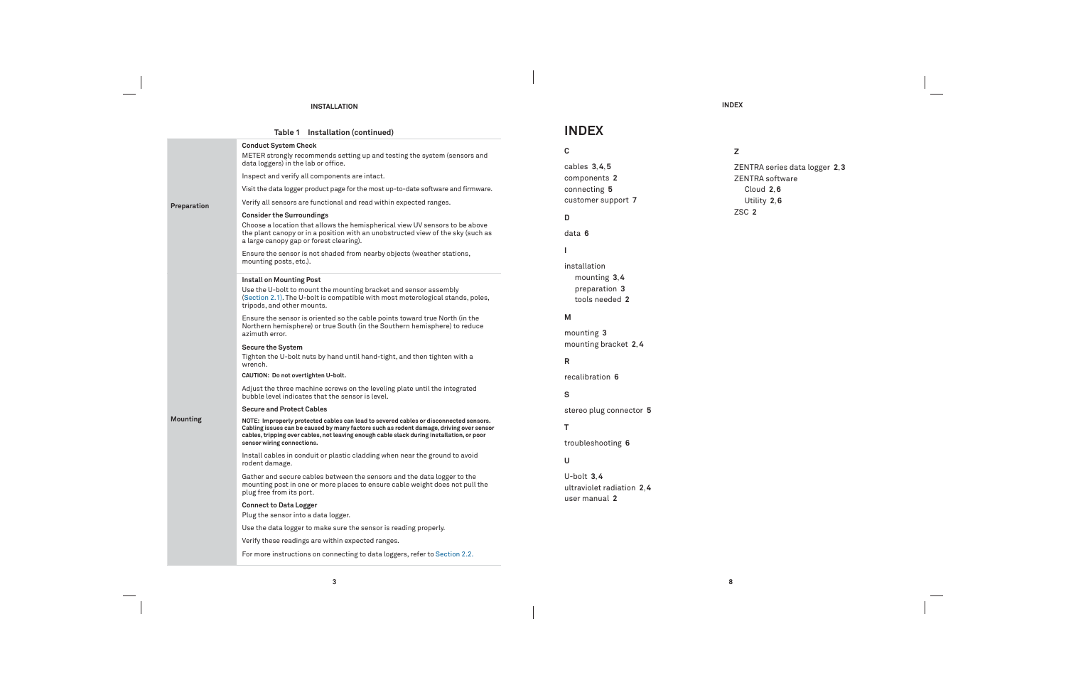#### **INSTALLATION**

 $\overline{\phantom{a}}$ 

 $\overline{\phantom{a}}$ 

cables **3**, **4**, **5** onents 2 ecting **5** mer support 7

ting **3** mounting bracket **2**, **4**

|             | Table 1 Installation (continued)                                                                                                                                                                                                                                              | <b>IND</b>         |
|-------------|-------------------------------------------------------------------------------------------------------------------------------------------------------------------------------------------------------------------------------------------------------------------------------|--------------------|
|             | <b>Conduct System Check</b><br>METER strongly recommends setting up and testing the system (sensors and<br>data loggers) in the lab or office.                                                                                                                                | C<br>cables        |
|             | Inspect and verify all components are intact.                                                                                                                                                                                                                                 | compo              |
|             | Visit the data logger product page for the most up-to-date software and firmware.                                                                                                                                                                                             | conned             |
| Preparation | Verify all sensors are functional and read within expected ranges.                                                                                                                                                                                                            | custon             |
|             | <b>Consider the Surroundings</b>                                                                                                                                                                                                                                              | D                  |
|             | Choose a location that allows the hemispherical view UV sensors to be above<br>the plant canopy or in a position with an unobstructed view of the sky (such as<br>a large canopy gap or forest clearing).                                                                     | data 6             |
|             | Ensure the sensor is not shaded from nearby objects (weather stations,<br>mounting posts, etc.).                                                                                                                                                                              | I.<br>install      |
|             | Install on Mounting Post<br>Use the U-bolt to mount the mounting bracket and sensor assembly<br>(Section 2.1). The U-bolt is compatible with most meterological stands, poles,<br>tripods, and other mounts.                                                                  | mou<br>pre<br>tool |
|             | Ensure the sensor is oriented so the cable points toward true North (in the<br>Northern hemisphere) or true South (in the Southern hemisphere) to reduce<br>azimuth error.                                                                                                    | М<br>mount         |
|             | <b>Secure the System</b><br>Tighten the U-bolt nuts by hand until hand-tight, and then tighten with a<br>wrench.                                                                                                                                                              | mount<br>R.        |
|             | CAUTION: Do not overtighten U-bolt.                                                                                                                                                                                                                                           | recalib            |
|             | Adjust the three machine screws on the leveling plate until the integrated<br>bubble level indicates that the sensor is level.                                                                                                                                                | s                  |
|             | <b>Secure and Protect Cables</b>                                                                                                                                                                                                                                              | stereo             |
| Mounting    | NOTE: Improperly protected cables can lead to severed cables or disconnected sensors.<br>Cabling issues can be caused by many factors such as rodent damage, driving over sensor<br>cables, tripping over cables, not leaving enough cable slack during installation, or poor | т                  |
|             | sensor wiring connections.                                                                                                                                                                                                                                                    | trouble            |
|             | Install cables in conduit or plastic cladding when near the ground to avoid<br>rodent damage.                                                                                                                                                                                 | U                  |
|             | Gather and secure cables between the sensors and the data logger to the<br>mounting post in one or more places to ensure cable weight does not pull the<br>plug free from its port.                                                                                           | U-bolt<br>ultravi  |
|             | <b>Connect to Data Logger</b><br>Plug the sensor into a data logger.                                                                                                                                                                                                          | user m             |
|             | Use the data logger to make sure the sensor is reading properly.                                                                                                                                                                                                              |                    |
|             | Verify these readings are within expected ranges.                                                                                                                                                                                                                             |                    |
|             | For more instructions on connecting to data loggers, refer to Section 2.2.                                                                                                                                                                                                    |                    |

 $3, 4$  $u$ iolet radiation **2,4** user manual **2**

**INDEX**

**8**

### **INDEX**

 $\overline{\phantom{a}}$ 

installation mounting **3**, **4** preparation **3** tools needed **2**

recalibration **6**

o plug connector **5** 

leshooting **6** 

 $\overline{\phantom{a}}$ 

**Z**

ZENTRA series data logger **2**, **3** ZENTRA software

 $\frac{1}{2}$ 

 $\overline{\phantom{0}}$ 

Cloud **2**, **6** Utility **2**, **6**

ZSC **2**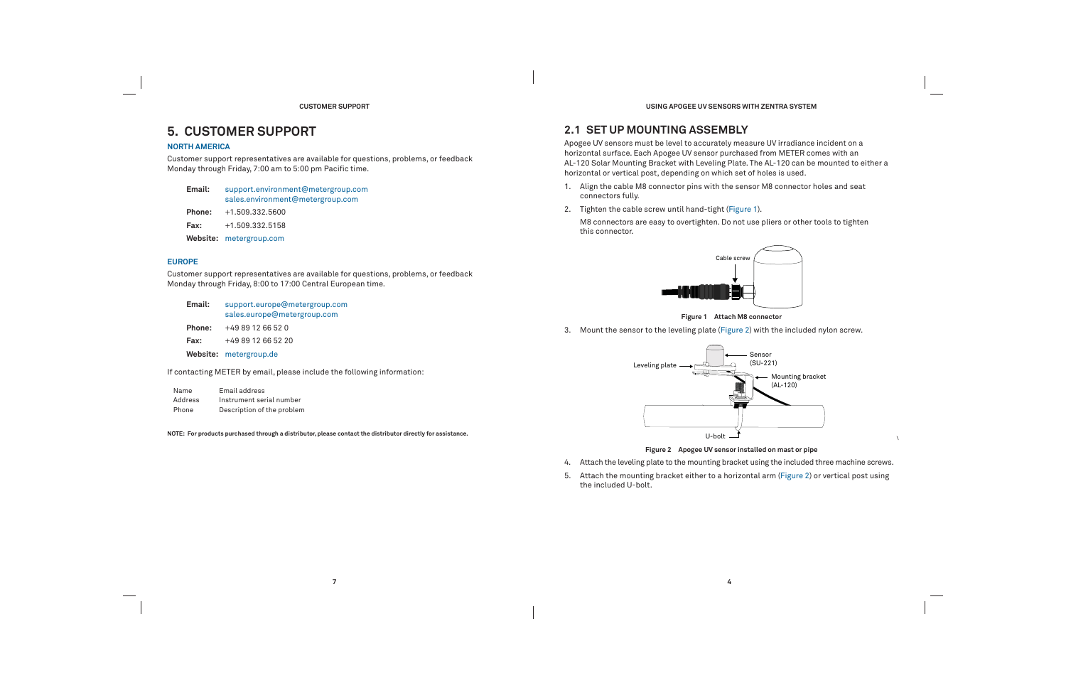#### **CUSTOMER SUPPORT**

## **5. CUSTOMER SUPPORT**

### **NORTH AMERICA**

Customer support representatives are available for questions, problems, or feedback Monday through Friday, 7:00 am to 5:00 pm Pacific time.

| Email: | support.environment@metergroup.com<br>sales.environment@metergroup.com |
|--------|------------------------------------------------------------------------|
| Phone: | $+1.509.332.5600$                                                      |

**Fax:**+1.509.332.5158

**Website:** metergroup.com

#### **EUROPE**

Customer support representatives are available for questions, problems, or feedback Monday through Friday, 8:00 to 17:00 Central European time.

| Email: | support.europe@metergroup.com<br>sales.europe@metergroup.com |
|--------|--------------------------------------------------------------|
| Phone: | +49 89 12 66 52 0                                            |
| Fax:   | $+498912665220$                                              |
|        | Website: metergroup.de                                       |
|        |                                                              |

If contacting METER by email, please include the following information:

| Name    | Email address              |
|---------|----------------------------|
| Address | Instrument serial number   |
| Phone   | Description of the problem |

**NOTE: For products purchased through a distributor, please contact the distributor directly for assistance.**

**4**

**USING APOGEE UV SENSORS WITH ZENTRA SYSTEM**

### **2.1 SET UP MOUNTING ASSEMBLY**

Apogee UV sensors must be level to accurately measure UV irradiance incident on a horizontal surface. Each Apogee UV sensor purchased from METER comes with an AL-120 Solar Mounting Bracket with Leveling Plate. The AL-120 can be mounted to either a horizontal or vertical post, depending on which set of holes is used.

- 1. Align the cable M8 connector pins with the sensor M8 connector holes and seat connectors fully.
- 2. Tighten the cable screw until hand-tight (Figure 1).

M8 connectors are easy to overtighten. Do not use pliers or other tools to tighten this connector.



### **Figure 1 Attach M8 connector**

3. Mount the sensor to the leveling plate (Figure 2) with the included nylon screw.

**\**



### **Figure 2 Apogee UV sensor installed on mast or pipe**

- 4. Attach the leveling plate to the mounting bracket using the included three machine screws.
- 5. Attach the mounting bracket either to a horizontal arm (Figure 2) or vertical post using the included U-bolt.

- 
- 
- 
- 



**+** Mounting bracket  $(AL-120)$